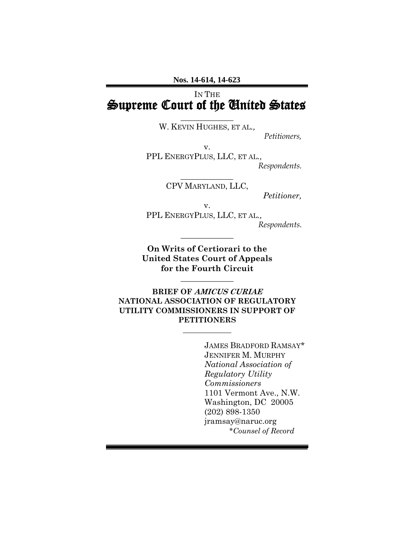# IN THE Supreme Court of the United States

 $\frac{1}{2}$ W. KEVIN HUGHES, ET AL*.,*

*Petitioners,*

v.

PPL ENERGYPLUS, LLC, ET AL*., Respondents.*

> $\frac{1}{2}$ CPV MARYLAND, LLC,

*Petitioner,*

v.

PPL ENERGYPLUS, LLC, ET AL*., Respondents.*

**On Writs of Certiorari to the United States Court of Appeals for the Fourth Circuit**

 $\frac{1}{2}$ 

 $\frac{1}{2}$ 

**BRIEF OF AMICUS CURIAE NATIONAL ASSOCIATION OF REGULATORY UTILITY COMMISSIONERS IN SUPPORT OF PETITIONERS**

\_\_\_\_\_\_\_\_\_\_\_\_\_

JAMES BRADFORD RAMSAY\* JENNIFER M. MURPHY *National Association of Regulatory Utility Commissioners* 1101 Vermont Ave., N.W. Washington, DC 20005 (202) 898-1350 jramsay@naruc.org \**Counsel of Record*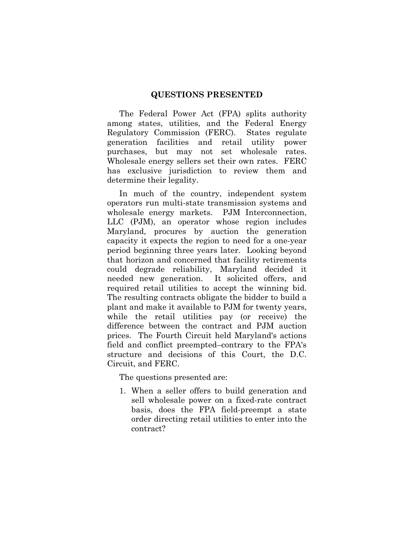#### **QUESTIONS PRESENTED**

<span id="page-1-0"></span>The Federal Power Act (FPA) splits authority among states, utilities, and the Federal Energy Regulatory Commission (FERC). States regulate generation facilities and retail utility power purchases, but may not set wholesale rates. Wholesale energy sellers set their own rates. FERC has exclusive jurisdiction to review them and determine their legality.

In much of the country, independent system operators run multi-state transmission systems and wholesale energy markets. PJM Interconnection, LLC (PJM), an operator whose region includes Maryland, procures by auction the generation capacity it expects the region to need for a one-year period beginning three years later. Looking beyond that horizon and concerned that facility retirements could degrade reliability, Maryland decided it needed new generation. It solicited offers, and required retail utilities to accept the winning bid. The resulting contracts obligate the bidder to build a plant and make it available to PJM for twenty years, while the retail utilities pay (or receive) the difference between the contract and PJM auction prices. The Fourth Circuit held Maryland's actions field and conflict preempted–contrary to the FPA's structure and decisions of this Court, the D.C. Circuit, and FERC.

The questions presented are:

1. When a seller offers to build generation and sell wholesale power on a fixed-rate contract basis, does the FPA field-preempt a state order directing retail utilities to enter into the contract?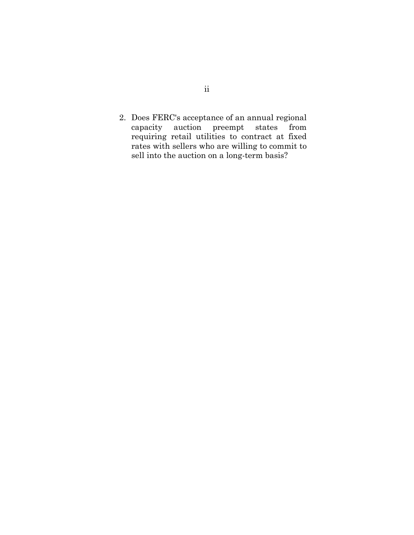2. Does FERC's acceptance of an annual regional capacity auction preempt states from requiring retail utilities to contract at fixed rates with sellers who are willing to commit to sell into the auction on a long-term basis?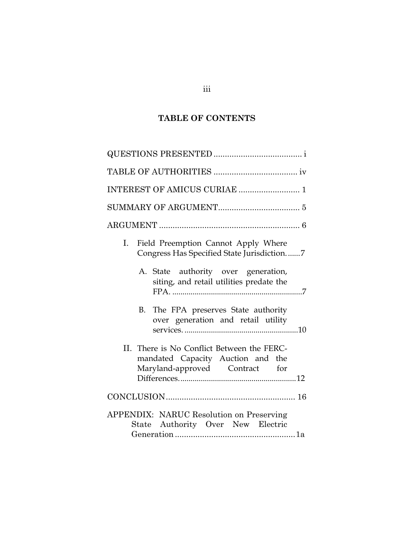# **TABLE OF CONTENTS**

| INTEREST OF AMICUS CURIAE  1                                                                                      |  |  |  |  |  |
|-------------------------------------------------------------------------------------------------------------------|--|--|--|--|--|
|                                                                                                                   |  |  |  |  |  |
|                                                                                                                   |  |  |  |  |  |
| Field Preemption Cannot Apply Where<br>Ι.<br>Congress Has Specified State Jurisdiction7                           |  |  |  |  |  |
| A. State authority over generation,<br>siting, and retail utilities predate the                                   |  |  |  |  |  |
| B. The FPA preserves State authority<br>over generation and retail utility                                        |  |  |  |  |  |
| II. There is No Conflict Between the FERC-<br>mandated Capacity Auction and the<br>Maryland-approved Contract for |  |  |  |  |  |
|                                                                                                                   |  |  |  |  |  |
| APPENDIX: NARUC Resolution on Preserving<br>State Authority Over New Electric                                     |  |  |  |  |  |

## iii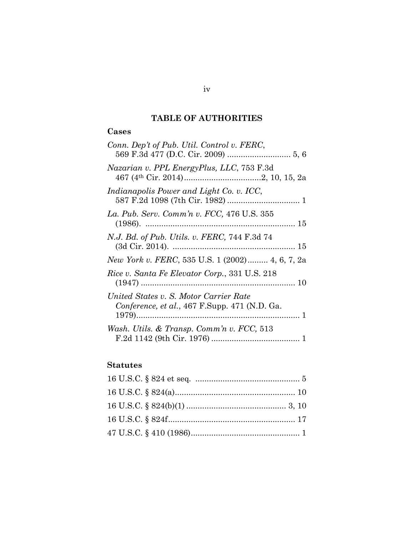## **TABLE OF AUTHORITIES**

## <span id="page-4-0"></span>**Cases**

| Conn. Dep't of Pub. Util. Control v. FERC,                                              |
|-----------------------------------------------------------------------------------------|
| Nazarian v. PPL EnergyPlus, LLC, 753 F.3d                                               |
| Indianapolis Power and Light Co. v. ICC,                                                |
| La. Pub. Serv. Comm'n v. FCC, 476 U.S. 355                                              |
| <i>N.J. Bd. of Pub. Utils. v. FERC, 744 F.3d 74</i>                                     |
| New York v. FERC, 535 U.S. 1 (2002) 4, 6, 7, 2a                                         |
| Rice v. Santa Fe Elevator Corp., 331 U.S. 218                                           |
| United States v. S. Motor Carrier Rate<br>Conference, et al., 467 F.Supp. 471 (N.D. Ga. |
| Wash. Utils. & Transp. Comm'n v. FCC, 513                                               |

## **Statutes**

iv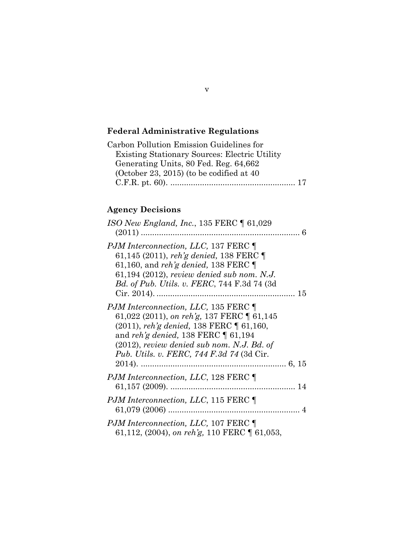# **Federal Administrative Regulations**

| Carbon Pollution Emission Guidelines for             |  |
|------------------------------------------------------|--|
| <b>Existing Stationary Sources: Electric Utility</b> |  |
| Generating Units, 80 Fed. Reg. 64,662                |  |
| (October 23, 2015) (to be codified at $40$           |  |
|                                                      |  |

# **Agency Decisions**

| ISO New England, Inc., 135 FERC $\P$ 61,029                                                                                                                                                                                                                                           |  |
|---------------------------------------------------------------------------------------------------------------------------------------------------------------------------------------------------------------------------------------------------------------------------------------|--|
| PJM Interconnection, LLC, 137 FERC ¶<br>61,145 (2011), reh'g denied, 138 FERC $\P$<br>61,160, and reh'g denied, 138 FERC $\P$<br>61,194 (2012), review denied sub nom. N.J.<br>Bd. of Pub. Utils. v. FERC, 744 F.3d 74 (3d                                                            |  |
| <i>PJM Interconnection, LLC, 135 FERC</i><br>61,022 (2011), on reh'g, 137 FERC $\P$ 61,145<br>(2011), reh'g denied, 138 FERC ¶ 61,160,<br>and reh'g denied, 138 FERC $\P$ 61,194<br>$(2012)$ , review denied sub nom. N.J. Bd. of<br><i>Pub. Utils. v. FERC, 744 F.3d 74 (3d Cir.</i> |  |
| <i>PJM Interconnection, LLC, 128 FERC</i>                                                                                                                                                                                                                                             |  |
| <i>PJM Interconnection, LLC, 115 FERC</i>                                                                                                                                                                                                                                             |  |
| <i>PJM Interconnection, LLC, 107 FERC</i><br>61,112, (2004), on reh'g, 110 FERC   61,053,                                                                                                                                                                                             |  |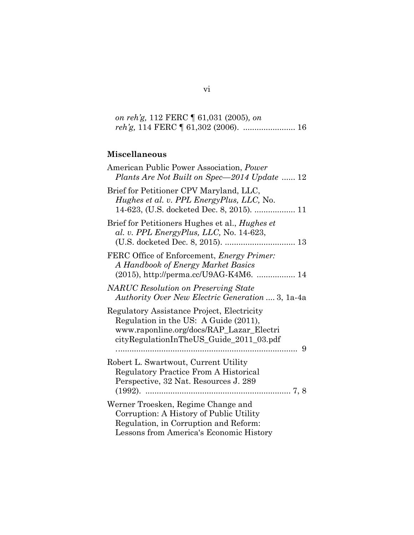*on reh'g,* 112 FERC ¶ 61,031 (2005)*, on reh'g,* 114 FERC ¶ 61,302 (2006). ....................... 16

# **Miscellaneous**

| American Public Power Association, Power<br>Plants Are Not Built on Spec-2014 Update  12                                                                                          |
|-----------------------------------------------------------------------------------------------------------------------------------------------------------------------------------|
| Brief for Petitioner CPV Maryland, LLC,<br>Hughes et al. v. PPL EnergyPlus, LLC, No.<br>14-623, (U.S. docketed Dec. 8, 2015).  11                                                 |
| Brief for Petitioners Hughes et al., <i>Hughes et</i><br>al. v. PPL EnergyPlus, LLC, No. 14-623,                                                                                  |
| FERC Office of Enforcement, <i>Energy Primer</i> :<br>A Handbook of Energy Market Basics<br>(2015), http://perma.cc/U9AG-K4M6.  14                                                |
| <b>NARUC</b> Resolution on Preserving State<br><i>Authority Over New Electric Generation</i> 3, 1a-4a                                                                             |
| Regulatory Assistance Project, Electricity<br>Regulation in the US: A Guide (2011),<br>www.raponline.org/docs/RAP_Lazar_Electri<br>cityRegulationInTheUS_Guide_2011_03.pdf<br>. 9 |
| Robert L. Swartwout, Current Utility<br><b>Regulatory Practice From A Historical</b><br>Perspective, 32 Nat. Resources J. 289                                                     |
| Werner Troesken, Regime Change and<br>Corruption: A History of Public Utility<br>Regulation, in Corruption and Reform:<br>Lessons from America's Economic History                 |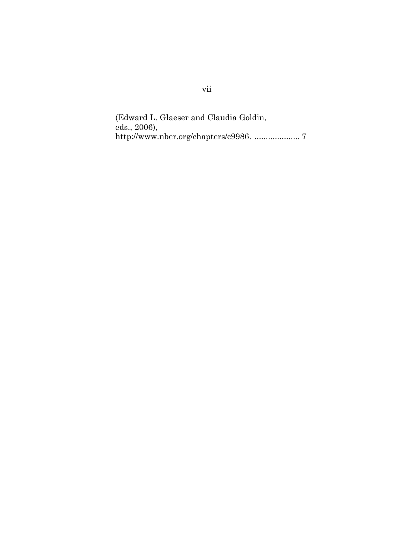(Edward L. Glaeser and Claudia Goldin, eds., 2006), http://www.nber.org/chapters/c9986. .................... 7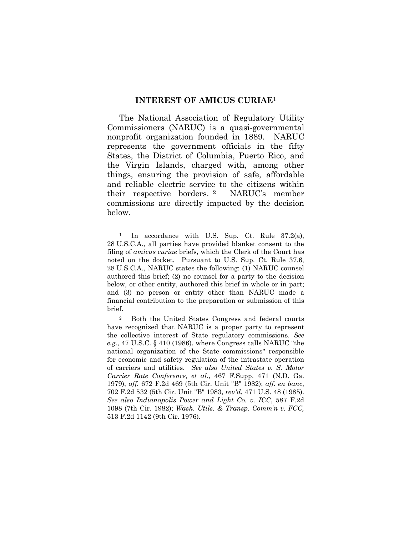#### **INTEREST OF AMICUS CURIAE**<sup>1</sup>

<span id="page-8-0"></span>The National Association of Regulatory Utility Commissioners (NARUC) is a quasi-governmental nonprofit organization founded in 1889. NARUC represents the government officials in the fifty States, the District of Columbia, Puerto Rico, and the Virgin Islands, charged with, among other things, ensuring the provision of safe, affordable and reliable electric service to the citizens within their respective borders. <sup>2</sup> NARUC's member commissions are directly impacted by the decision below.

<sup>&</sup>lt;sup>1</sup> In accordance with U.S. Sup. Ct. Rule 37.2(a), 28 U.S.C.A., all parties have provided blanket consent to the filing of *amicus curiae* briefs, which the Clerk of the Court has noted on the docket. Pursuant to U.S. Sup. Ct. Rule 37.6, 28 U.S.C.A., NARUC states the following: (1) NARUC counsel authored this brief; (2) no counsel for a party to the decision below, or other entity, authored this brief in whole or in part; and (3) no person or entity other than NARUC made a financial contribution to the preparation or submission of this brief.

<sup>2</sup> Both the United States Congress and federal courts have recognized that NARUC is a proper party to represent the collective interest of State regulatory commissions. *See e.g.*, 47 U.S.C. § 410 (1986), where Congress calls NARUC "the national organization of the State commissions" responsible for economic and safety regulation of the intrastate operation of carriers and utilities. *See also United States v. S. Motor Carrier Rate Conference, et al.*, 467 F.Supp. 471 (N.D. Ga. 1979), *aff.* 672 F.2d 469 (5th Cir. Unit "B" 1982); *aff. en banc*, 702 F.2d 532 (5th Cir. Unit "B" 1983, *rev'd*, 471 U.S. 48 (1985). *See also Indianapolis Power and Light Co. v. ICC*, 587 F.2d 1098 (7th Cir. 1982); *Wash. Utils. & Transp. Comm'n v. FCC,* 513 F.2d 1142 (9th Cir. 1976).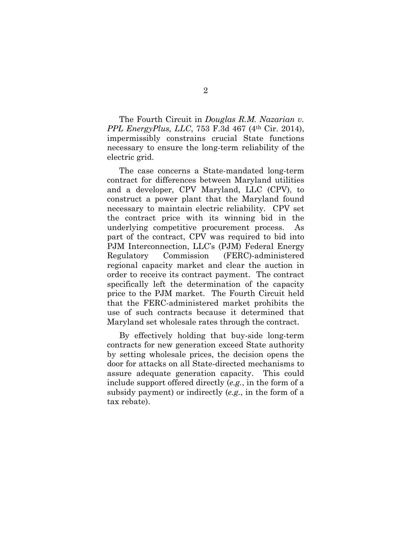The Fourth Circuit in *Douglas R.M. Nazarian v. PPL EnergyPlus, LLC*, 753 F.3d 467 (4th Cir. 2014), impermissibly constrains crucial State functions necessary to ensure the long-term reliability of the electric grid.

The case concerns a State-mandated long-term contract for differences between Maryland utilities and a developer, CPV Maryland, LLC (CPV), to construct a power plant that the Maryland found necessary to maintain electric reliability. CPV set the contract price with its winning bid in the underlying competitive procurement process. As part of the contract, CPV was required to bid into PJM Interconnection, LLC's (PJM) Federal Energy Regulatory Commission (FERC)-administered regional capacity market and clear the auction in order to receive its contract payment. The contract specifically left the determination of the capacity price to the PJM market. The Fourth Circuit held that the FERC-administered market prohibits the use of such contracts because it determined that Maryland set wholesale rates through the contract.

By effectively holding that buy-side long-term contracts for new generation exceed State authority by setting wholesale prices, the decision opens the door for attacks on all State-directed mechanisms to assure adequate generation capacity. This could include support offered directly (*e.g.*, in the form of a subsidy payment) or indirectly (*e.g.*, in the form of a tax rebate).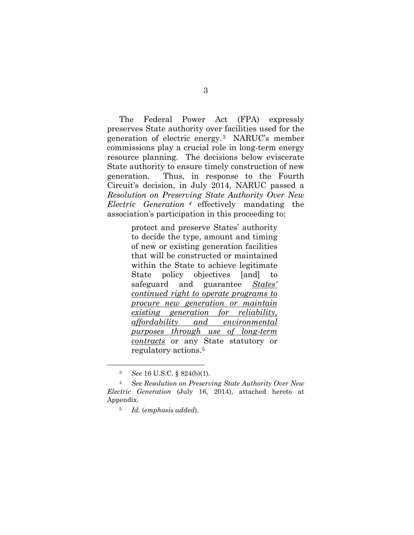The Federal Power Act (FPA) expressly preserves State authority over facilities used for the generation of electric energy. <sup>3</sup> NARUC's member commissions play a crucial role in long-term energy resource planning. The decisions below eviscerate State authority to ensure timely construction of new generation. Thus, in response to the Fourth Circuit's decision, in July 2014, NARUC passed a *Resolution on Preserving State Authority Over New Electric Generation <sup>4</sup>* effectively mandating the association's participation in this proceeding to:

> protect and preserve States' authority to decide the type, amount and timing of new or existing generation facilities that will be constructed or maintained within the State to achieve legitimate State policy objectives [and] to safeguard and guarantee *States' continued right to operate programs to procure new generation or maintain existing generation for reliability, affordability and environmental purposes through use of long-term contracts* or any State statutory or regulatory actions.<sup>5</sup>

<sup>3</sup> *See* 16 U.S.C. § 824(b)(1).

<sup>4</sup> *See Resolution on Preserving State Authority Over New Electric Generation* (July 16, 2014), attached hereto at Appendix.

<sup>5</sup> *Id.* (*emphasis added*).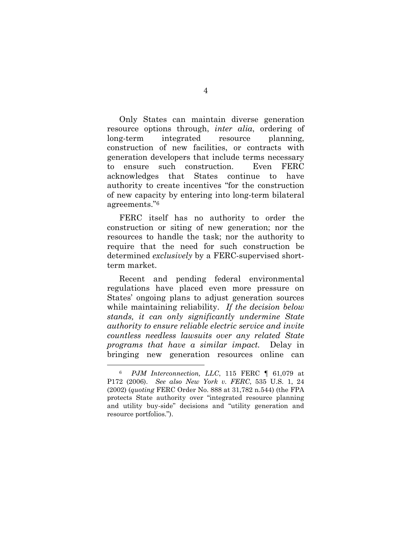Only States can maintain diverse generation resource options through, *inter alia*, ordering of long-term integrated resource planning, construction of new facilities, or contracts with generation developers that include terms necessary to ensure such construction. Even FERC acknowledges that States continue to have authority to create incentives "for the construction of new capacity by entering into long-term bilateral agreements."<sup>6</sup>

FERC itself has no authority to order the construction or siting of new generation; nor the resources to handle the task; nor the authority to require that the need for such construction be determined *exclusively* by a FERC-supervised shortterm market.

Recent and pending federal environmental regulations have placed even more pressure on States' ongoing plans to adjust generation sources while maintaining reliability. *If the decision below stands, it can only significantly undermine State authority to ensure reliable electric service and invite countless needless lawsuits over any related State programs that have a similar impact.* Delay in bringing new generation resources online can

<sup>6</sup> *PJM Interconnection, LLC*, 115 FERC ¶ 61,079 at P172 (2006). *See also New York v. FERC*, 535 U.S. 1, 24 (2002) (*quoting* FERC Order No. 888 at 31,782 n.544) (the FPA protects State authority over "integrated resource planning and utility buy-side" decisions and "utility generation and resource portfolios.").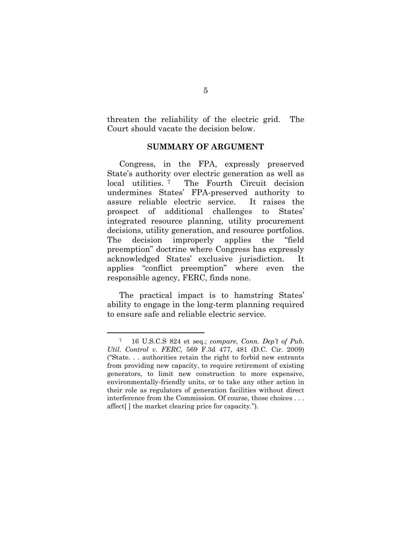threaten the reliability of the electric grid. The Court should vacate the decision below.

#### **SUMMARY OF ARGUMENT**

<span id="page-12-0"></span>Congress, in the FPA, expressly preserved State's authority over electric generation as well as local utilities.<sup>7</sup> <sup>7</sup> The Fourth Circuit decision undermines States' FPA-preserved authority to assure reliable electric service. It raises the prospect of additional challenges to States' integrated resource planning, utility procurement decisions, utility generation, and resource portfolios. The decision improperly applies the "field preemption" doctrine where Congress has expressly acknowledged States' exclusive jurisdiction. It applies "conflict preemption" where even the responsible agency, FERC, finds none.

The practical impact is to hamstring States' ability to engage in the long-term planning required to ensure safe and reliable electric service.

<sup>7</sup> 16 U.S.C.S 824 et seq.; *compare*, *Conn. Dep't of Pub. Util. Control v. FERC,* 569 F.3d 477, 481 (D.C. Cir. 2009) ("State. . . authorities retain the right to forbid new entrants from providing new capacity, to require retirement of existing generators, to limit new construction to more expensive, environmentally-friendly units, or to take any other action in their role as regulators of generation facilities without direct interference from the Commission. Of course, those choices . . . affect[ ] the market clearing price for capacity.").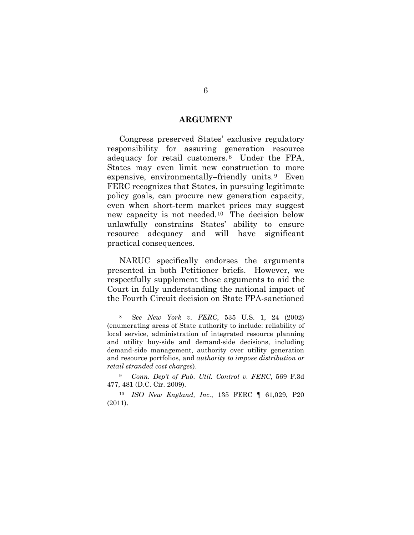#### **ARGUMENT**

<span id="page-13-0"></span>Congress preserved States' exclusive regulatory responsibility for assuring generation resource adequacy for retail customers. <sup>8</sup> Under the FPA, States may even limit new construction to more expensive, environmentally–friendly units. <sup>9</sup> Even FERC recognizes that States, in pursuing legitimate policy goals, can procure new generation capacity, even when short-term market prices may suggest new capacity is not needed.10 The decision below unlawfully constrains States' ability to ensure resource adequacy and will have significant practical consequences.

NARUC specifically endorses the arguments presented in both Petitioner briefs. However, we respectfully supplement those arguments to aid the Court in fully understanding the national impact of the Fourth Circuit decision on State FPA-sanctioned

<sup>8</sup> *See New York v. FERC*, 535 U.S. 1, 24 (2002) (enumerating areas of State authority to include: reliability of local service, administration of integrated resource planning and utility buy-side and demand-side decisions, including demand-side management, authority over utility generation and resource portfolios, and *authority to impose distribution or retail stranded cost charges*).

<sup>9</sup> *Conn. Dep't of Pub. Util. Control v. FERC*, 569 F.3d 477, 481 (D.C. Cir. 2009).

<sup>10</sup> *ISO New England, Inc.*, 135 FERC ¶ 61,029, P20 (2011).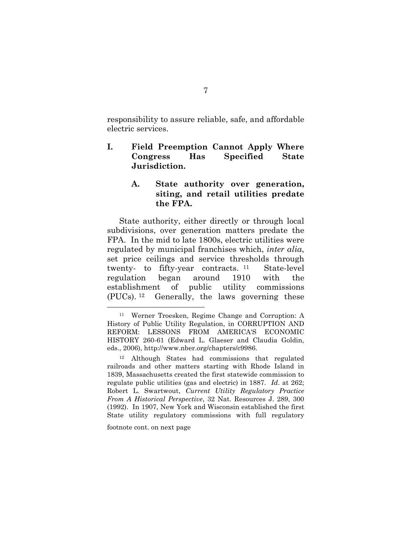responsibility to assure reliable, safe, and affordable electric services.

<span id="page-14-0"></span>**I. Field Preemption Cannot Apply Where Congress Has Specified State Jurisdiction.**

#### <span id="page-14-1"></span>**A. State authority over generation, siting, and retail utilities predate the FPA.**

State authority, either directly or through local subdivisions, over generation matters predate the FPA. In the mid to late 1800s, electric utilities were regulated by municipal franchises which, *inter alia*, set price ceilings and service thresholds through twenty- to fifty-year contracts. <sup>11</sup> State-level regulation began around 1910 with the establishment of public utility commissions (PUCs). Generally, the laws governing these

footnote cont. on next page

<sup>11</sup> Werner Troesken, Regime Change and Corruption: A History of Public Utility Regulation, in CORRUPTION AND REFORM: LESSONS FROM AMERICA'S ECONOMIC HISTORY 260-61 (Edward L. Glaeser and Claudia Goldin, eds., 2006), http://www.nber.org/chapters/c9986.

<sup>12</sup> Although States had commissions that regulated railroads and other matters starting with Rhode Island in 1839, Massachusetts created the first statewide commission to regulate public utilities (gas and electric) in 1887. *Id*. at 262; Robert L. Swartwout, *Current Utility Regulatory Practice From A Historical Perspective*, 32 Nat. Resources J. 289, 300 (1992). In 1907, New York and Wisconsin established the first State utility regulatory commissions with full regulatory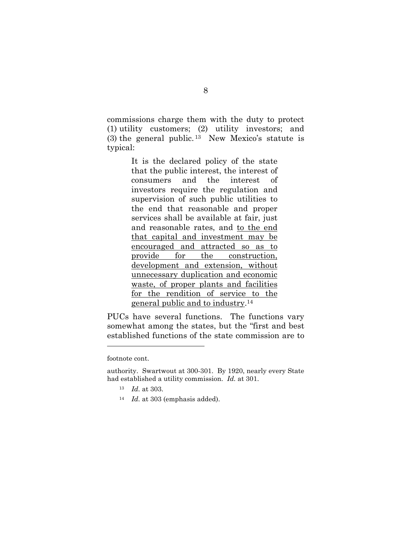commissions charge them with the duty to protect (1) utility customers; (2) utility investors; and (3) the general public. <sup>13</sup> New Mexico's statute is typical:

> It is the declared policy of the state that the public interest, the interest of consumers and the interest of investors require the regulation and supervision of such public utilities to the end that reasonable and proper services shall be available at fair, just and reasonable rates, and to the end that capital and investment may be encouraged and attracted so as to provide for the construction, development and extension, without unnecessary duplication and economic waste, of proper plants and facilities for the rendition of service to the general public and to industry. 14

PUCs have several functions. The functions vary somewhat among the states, but the "first and best established functions of the state commission are to

footnote cont.

- <sup>13</sup> *Id.* at 303.
- <sup>14</sup> *Id.* at 303 (emphasis added).

authority. Swartwout at 300-301. By 1920, nearly every State had established a utility commission. *Id.* at 301.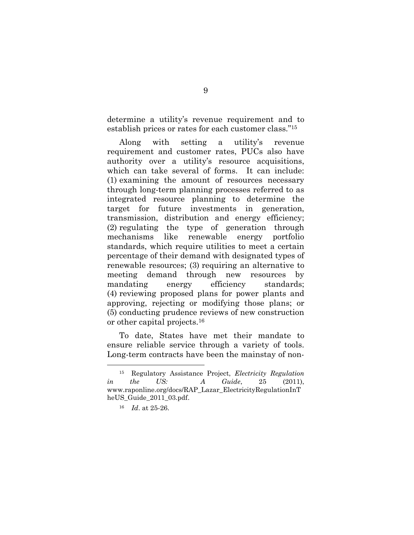determine a utility's revenue requirement and to establish prices or rates for each customer class."<sup>15</sup>

Along with setting a utility's revenue requirement and customer rates, PUCs also have authority over a utility's resource acquisitions, which can take several of forms. It can include: (1) examining the amount of resources necessary through long-term planning processes referred to as integrated resource planning to determine the target for future investments in generation, transmission, distribution and energy efficiency; (2) regulating the type of generation through mechanisms like renewable energy portfolio standards, which require utilities to meet a certain percentage of their demand with designated types of renewable resources; (3) requiring an alternative to meeting demand through new resources by mandating energy efficiency standards; (4) reviewing proposed plans for power plants and approving, rejecting or modifying those plans; or (5) conducting prudence reviews of new construction or other capital projects.<sup>16</sup>

To date, States have met their mandate to ensure reliable service through a variety of tools. Long-term contracts have been the mainstay of non-

<sup>15</sup> Regulatory Assistance Project, *Electricity Regulation in the US: A Guide*, 25 (2011), www.raponline.org/docs/RAP\_Lazar\_ElectricityRegulationInT heUS\_Guide\_2011\_03.pdf.

<sup>16</sup> *Id*. at 25-26.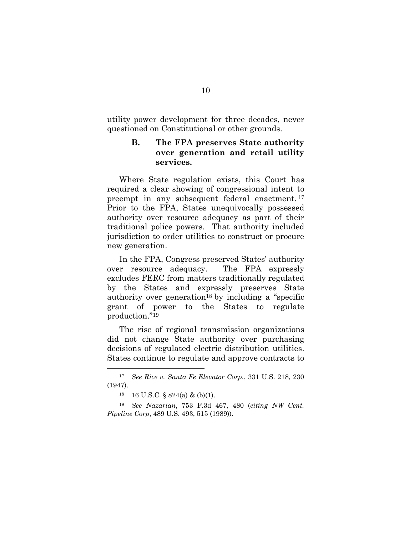<span id="page-17-0"></span>utility power development for three decades, never questioned on Constitutional or other grounds.

### **B. The FPA preserves State authority over generation and retail utility services.**

Where State regulation exists, this Court has required a clear showing of congressional intent to preempt in any subsequent federal enactment. <sup>17</sup> Prior to the FPA, States unequivocally possessed authority over resource adequacy as part of their traditional police powers. That authority included jurisdiction to order utilities to construct or procure new generation.

In the FPA, Congress preserved States' authority over resource adequacy. The FPA expressly excludes FERC from matters traditionally regulated by the States and expressly preserves State authority over generation<sup>18</sup> by including a "specific grant of power to the States to regulate production." 19

The rise of regional transmission organizations did not change State authority over purchasing decisions of regulated electric distribution utilities. States continue to regulate and approve contracts to

<sup>17</sup> *See Rice v. Santa Fe Elevator Corp.*, 331 U.S. 218, 230 (1947).

<sup>18</sup> 16 U.S.C. § 824(a) & (b)(1).

<sup>19</sup> *See Nazarian*, 753 F.3d 467, 480 (*citing NW Cent. Pipeline Corp*, 489 U.S. 493, 515 (1989)).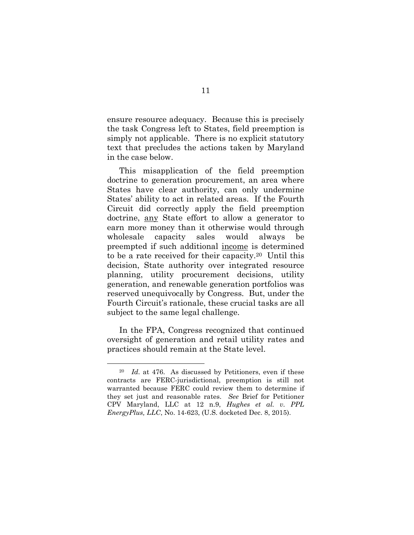ensure resource adequacy. Because this is precisely the task Congress left to States, field preemption is simply not applicable. There is no explicit statutory text that precludes the actions taken by Maryland in the case below.

This misapplication of the field preemption doctrine to generation procurement, an area where States have clear authority, can only undermine States' ability to act in related areas. If the Fourth Circuit did correctly apply the field preemption doctrine, any State effort to allow a generator to earn more money than it otherwise would through wholesale capacity sales would always be preempted if such additional income is determined to be a rate received for their capacity.20 Until this decision, State authority over integrated resource planning, utility procurement decisions, utility generation, and renewable generation portfolios was reserved unequivocally by Congress. But, under the Fourth Circuit's rationale, these crucial tasks are all subject to the same legal challenge.

In the FPA, Congress recognized that continued oversight of generation and retail utility rates and practices should remain at the State level.

<sup>20</sup> *Id.* at 476. As discussed by Petitioners, even if these contracts are FERC-jurisdictional, preemption is still not warranted because FERC could review them to determine if they set just and reasonable rates. *See* Brief for Petitioner CPV Maryland, LLC at 12 n.9, *Hughes et al. v. PPL EnergyPlus, LLC*, No. 14-623, (U.S. docketed Dec. 8, 2015).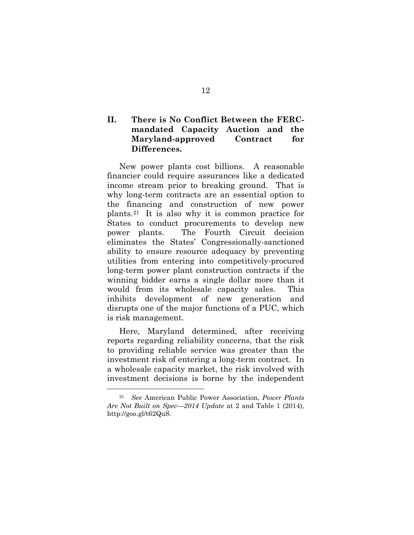## <span id="page-19-0"></span>**II. There is No Conflict Between the FERCmandated Capacity Auction and the Maryland-approved Contract for Differences.**

New power plants cost billions. A reasonable financier could require assurances like a dedicated income stream prior to breaking ground. That is why long-term contracts are an essential option to the financing and construction of new power plants. <sup>21</sup> It is also why it is common practice for States to conduct procurements to develop new power plants. The Fourth Circuit decision eliminates the States' Congressionally-sanctioned ability to ensure resource adequacy by preventing utilities from entering into competitively-procured long-term power plant construction contracts if the winning bidder earns a single dollar more than it would from its wholesale capacity sales. This inhibits development of new generation and disrupts one of the major functions of a PUC, which is risk management.

Here, Maryland determined, after receiving reports regarding reliability concerns, that the risk to providing reliable service was greater than the investment risk of entering a long-term contract. In a wholesale capacity market, the risk involved with investment decisions is borne by the independent

<sup>21</sup> *See* American Public Power Association, *Power Plants Are Not Built on Spec*—*2014 Update* at 2 and Table 1 (2014), http://goo.gl/t62QuS.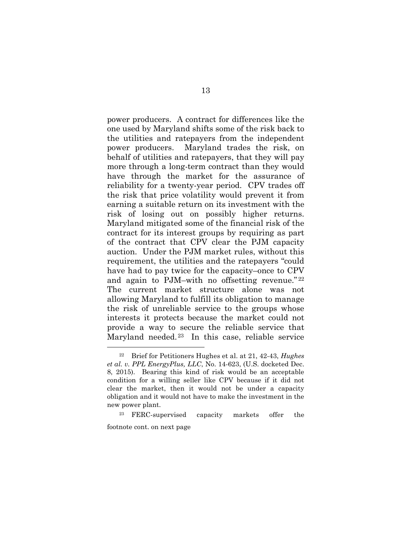power producers. A contract for differences like the one used by Maryland shifts some of the risk back to the utilities and ratepayers from the independent power producers. Maryland trades the risk, on behalf of utilities and ratepayers, that they will pay more through a long-term contract than they would have through the market for the assurance of reliability for a twenty-year period. CPV trades off the risk that price volatility would prevent it from earning a suitable return on its investment with the risk of losing out on possibly higher returns. Maryland mitigated some of the financial risk of the contract for its interest groups by requiring as part of the contract that CPV clear the PJM capacity auction. Under the PJM market rules, without this requirement, the utilities and the ratepayers "could have had to pay twice for the capacity–once to CPV and again to PJM–with no offsetting revenue." <sup>22</sup> The current market structure alone was not allowing Maryland to fulfill its obligation to manage the risk of unreliable service to the groups whose interests it protects because the market could not provide a way to secure the reliable service that Maryland needed.23 In this case, reliable service

<sup>22</sup> Brief for Petitioners Hughes et al. at 21, 42-43, *Hughes et al. v. PPL EnergyPlus, LLC*, No. 14-623, (U.S. docketed Dec. 8, 2015). Bearing this kind of risk would be an acceptable condition for a willing seller like CPV because if it did not clear the market, then it would not be under a capacity obligation and it would not have to make the investment in the new power plant.

FERC-supervised capacity markets offer the footnote cont. on next page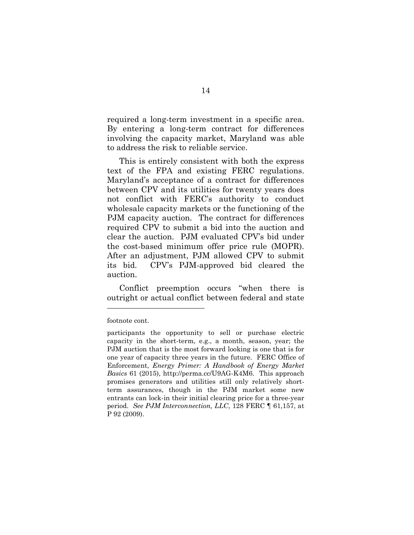required a long-term investment in a specific area. By entering a long-term contract for differences involving the capacity market, Maryland was able to address the risk to reliable service.

This is entirely consistent with both the express text of the FPA and existing FERC regulations. Maryland's acceptance of a contract for differences between CPV and its utilities for twenty years does not conflict with FERC's authority to conduct wholesale capacity markets or the functioning of the PJM capacity auction. The contract for differences required CPV to submit a bid into the auction and clear the auction. PJM evaluated CPV's bid under the cost-based minimum offer price rule (MOPR). After an adjustment, PJM allowed CPV to submit its bid. CPV's PJM-approved bid cleared the auction.

Conflict preemption occurs "when there is outright or actual conflict between federal and state

footnote cont.

participants the opportunity to sell or purchase electric capacity in the short-term, e.g., a month, season, year; the PJM auction that is the most forward looking is one that is for one year of capacity three years in the future. FERC Office of Enforcement, *Energy Primer: A Handbook of Energy Market Basics* 61 (2015), http://perma.cc/U9AG-K4M6. This approach promises generators and utilities still only relatively shortterm assurances, though in the PJM market some new entrants can lock-in their initial clearing price for a three-year period. *See PJM Interconnection, LLC*, 128 FERC ¶ 61,157, at P 92 (2009).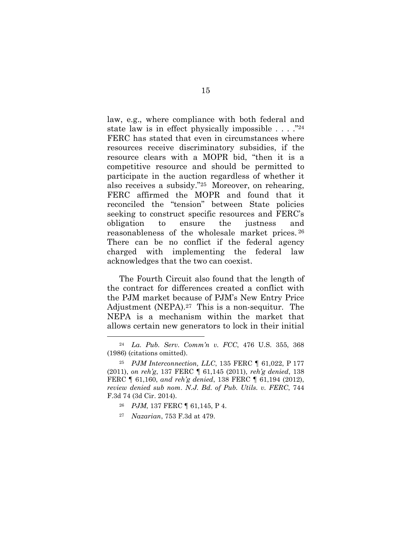law, e.g., where compliance with both federal and state law is in effect physically impossible  $\ldots$ ."<sup>24</sup> FERC has stated that even in circumstances where resources receive discriminatory subsidies, if the resource clears with a MOPR bid, "then it is a competitive resource and should be permitted to participate in the auction regardless of whether it also receives a subsidy."25 Moreover, on rehearing, FERC affirmed the MOPR and found that it reconciled the "tension" between State policies seeking to construct specific resources and FERC's obligation to ensure the justness and reasonableness of the wholesale market prices. <sup>26</sup> There can be no conflict if the federal agency charged with implementing the federal law acknowledges that the two can coexist.

The Fourth Circuit also found that the length of the contract for differences created a conflict with the PJM market because of PJM's New Entry Price Adjustment (NEPA). <sup>27</sup> This is a non-sequitur. The NEPA is a mechanism within the market that allows certain new generators to lock in their initial

- <sup>26</sup> *PJM*, 137 FERC ¶ 61,145, P 4.
- <sup>27</sup> *Nazarian*, 753 F.3d at 479.

<sup>24</sup> *La. Pub. Serv. Comm'n v. FCC*, 476 U.S. 355, 368 (1986) (citations omitted).

<sup>25</sup> *PJM Interconnection, LLC*, 135 FERC ¶ 61,022, P 177 (2011), *on reh'g*, 137 FERC ¶ 61,145 (2011), *reh'g denied*, 138 FERC ¶ 61,160, *and reh'g denied*, 138 FERC ¶ 61,194 (2012), *review denied sub nom*. *N.J. Bd. of Pub. Utils. v. FERC*, 744 F.3d 74 (3d Cir. 2014).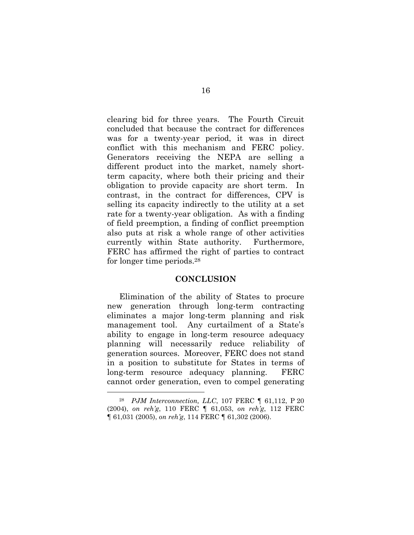clearing bid for three years. The Fourth Circuit concluded that because the contract for differences was for a twenty-year period, it was in direct conflict with this mechanism and FERC policy. Generators receiving the NEPA are selling a different product into the market, namely shortterm capacity, where both their pricing and their obligation to provide capacity are short term. In contrast, in the contract for differences, CPV is selling its capacity indirectly to the utility at a set rate for a twenty-year obligation. As with a finding of field preemption, a finding of conflict preemption also puts at risk a whole range of other activities currently within State authority. Furthermore, FERC has affirmed the right of parties to contract for longer time periods.<sup>28</sup>

#### **CONCLUSION**

<span id="page-23-0"></span>Elimination of the ability of States to procure new generation through long-term contracting eliminates a major long-term planning and risk management tool. Any curtailment of a State's ability to engage in long-term resource adequacy planning will necessarily reduce reliability of generation sources. Moreover, FERC does not stand in a position to substitute for States in terms of long-term resource adequacy planning. FERC cannot order generation, even to compel generating

<sup>28</sup> *PJM Interconnection, LLC*, 107 FERC ¶ 61,112, P 20 (2004), *on reh'g*, 110 FERC ¶ 61,053, *on reh'g*, 112 FERC ¶ 61,031 (2005), *on reh'g*, 114 FERC ¶ 61,302 (2006).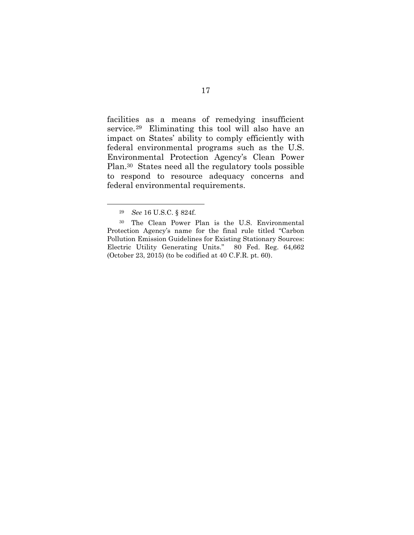facilities as a means of remedying insufficient service.29 Eliminating this tool will also have an impact on States' ability to comply efficiently with federal environmental programs such as the U.S. Environmental Protection Agency's Clean Power Plan.<sup>30</sup> States need all the regulatory tools possible to respond to resource adequacy concerns and federal environmental requirements.

<sup>29</sup> *See* 16 U.S.C. § 824f.

<sup>30</sup> The Clean Power Plan is the U.S. Environmental Protection Agency's name for the final rule titled "Carbon Pollution Emission Guidelines for Existing Stationary Sources: Electric Utility Generating Units." 80 Fed. Reg. 64,662 (October 23, 2015) (to be codified at 40 C.F.R. pt. 60).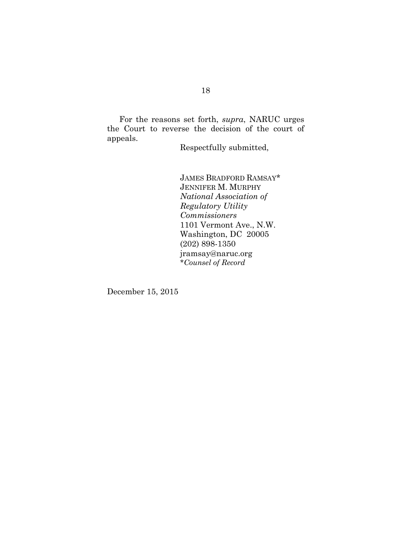For the reasons set forth, *supra*, NARUC urges the Court to reverse the decision of the court of appeals.

Respectfully submitted,

JAMES BRADFORD RAMSAY\* JENNIFER M. MURPHY *National Association of Regulatory Utility Commissioners* 1101 Vermont Ave., N.W. Washington, DC 20005 (202) 898-1350 jramsay@naruc.org \**Counsel of Record*

December 15, 2015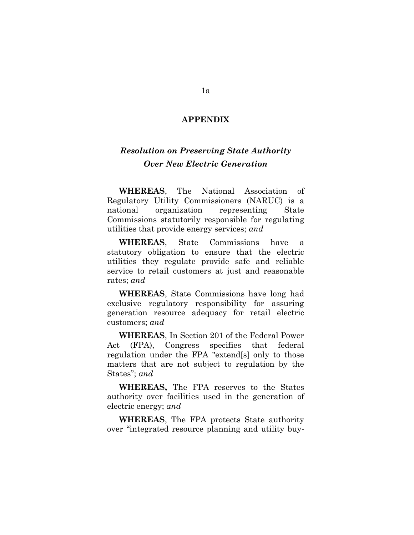#### **APPENDIX**

# *Resolution on Preserving State Authority Over New Electric Generation*

**WHEREAS**, The National Association of Regulatory Utility Commissioners (NARUC) is a national organization representing State Commissions statutorily responsible for regulating utilities that provide energy services; *and* 

**WHEREAS**, State Commissions have a statutory obligation to ensure that the electric utilities they regulate provide safe and reliable service to retail customers at just and reasonable rates; *and* 

**WHEREAS**, State Commissions have long had exclusive regulatory responsibility for assuring generation resource adequacy for retail electric customers; *and* 

**WHEREAS**, In Section 201 of the Federal Power Act (FPA), Congress specifies that federal regulation under the FPA "extend[s] only to those matters that are not subject to regulation by the States"; *and* 

**WHEREAS,** The FPA reserves to the States authority over facilities used in the generation of electric energy; *and* 

**WHEREAS**, The FPA protects State authority over "integrated resource planning and utility buy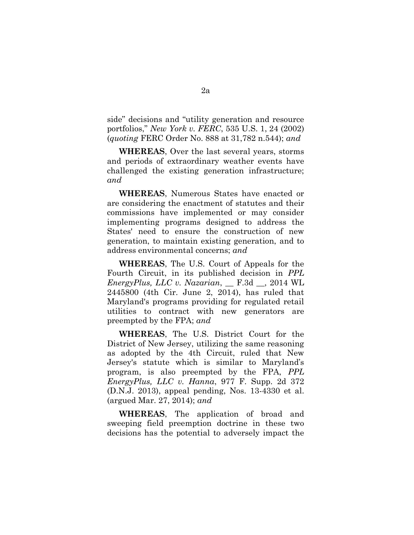side" decisions and "utility generation and resource portfolios," *New York v. FERC*, 535 U.S. 1, 24 (2002) (*quoting* FERC Order No. 888 at 31,782 n.544); *and* 

**WHEREAS**, Over the last several years, storms and periods of extraordinary weather events have challenged the existing generation infrastructure; *and* 

**WHEREAS**, Numerous States have enacted or are considering the enactment of statutes and their commissions have implemented or may consider implementing programs designed to address the States' need to ensure the construction of new generation, to maintain existing generation, and to address environmental concerns; *and* 

**WHEREAS**, The U.S. Court of Appeals for the Fourth Circuit, in its published decision in *PPL EnergyPlus, LLC v. Nazarian*, \_\_ F.3d \_\_, 2014 WL 2445800 (4th Cir. June 2, 2014), has ruled that Maryland's programs providing for regulated retail utilities to contract with new generators are preempted by the FPA; *and* 

**WHEREAS**, The U.S. District Court for the District of New Jersey, utilizing the same reasoning as adopted by the 4th Circuit, ruled that New Jersey's statute which is similar to Maryland's program, is also preempted by the FPA, *PPL EnergyPlus, LLC v. Hanna*, 977 F. Supp. 2d 372 (D.N.J. 2013), appeal pending, Nos. 13-4330 et al. (argued Mar. 27, 2014); *and* 

**WHEREAS**, The application of broad and sweeping field preemption doctrine in these two decisions has the potential to adversely impact the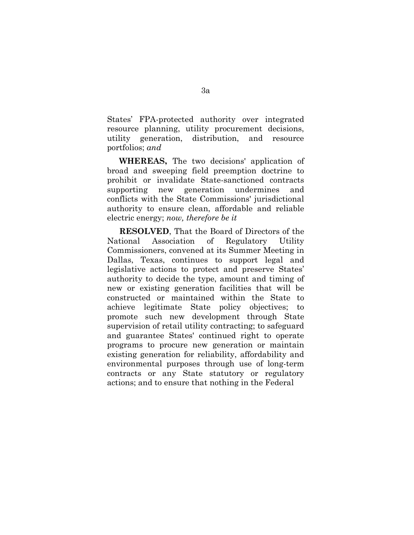States' FPA-protected authority over integrated resource planning, utility procurement decisions, utility generation, distribution, and resource portfolios; *and*

**WHEREAS,** The two decisions' application of broad and sweeping field preemption doctrine to prohibit or invalidate State-sanctioned contracts supporting new generation undermines and conflicts with the State Commissions' jurisdictional authority to ensure clean, affordable and reliable electric energy; *now, therefore be it* 

**RESOLVED**, That the Board of Directors of the National Association of Regulatory Utility Commissioners, convened at its Summer Meeting in Dallas, Texas, continues to support legal and legislative actions to protect and preserve States' authority to decide the type, amount and timing of new or existing generation facilities that will be constructed or maintained within the State to achieve legitimate State policy objectives; to promote such new development through State supervision of retail utility contracting; to safeguard and guarantee States' continued right to operate programs to procure new generation or maintain existing generation for reliability, affordability and environmental purposes through use of long-term contracts or any State statutory or regulatory actions; and to ensure that nothing in the Federal